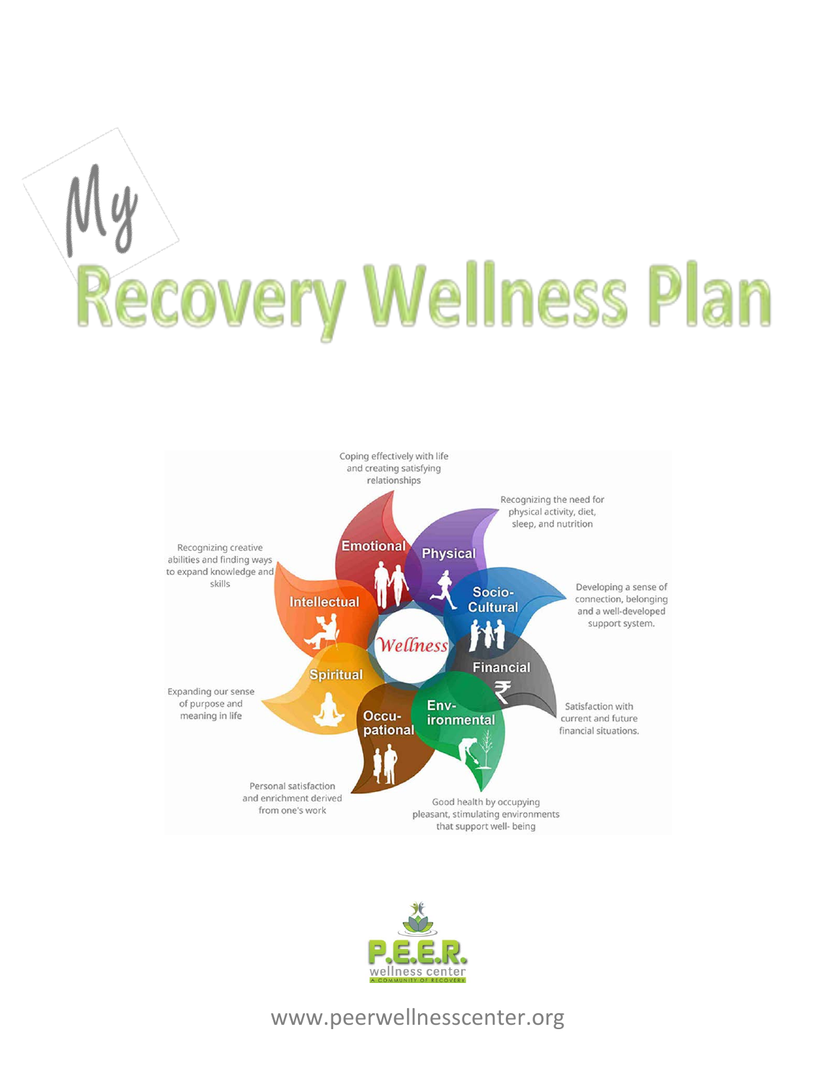# **Recovery Wellness Plan**





### www.peerwellnesscenter.org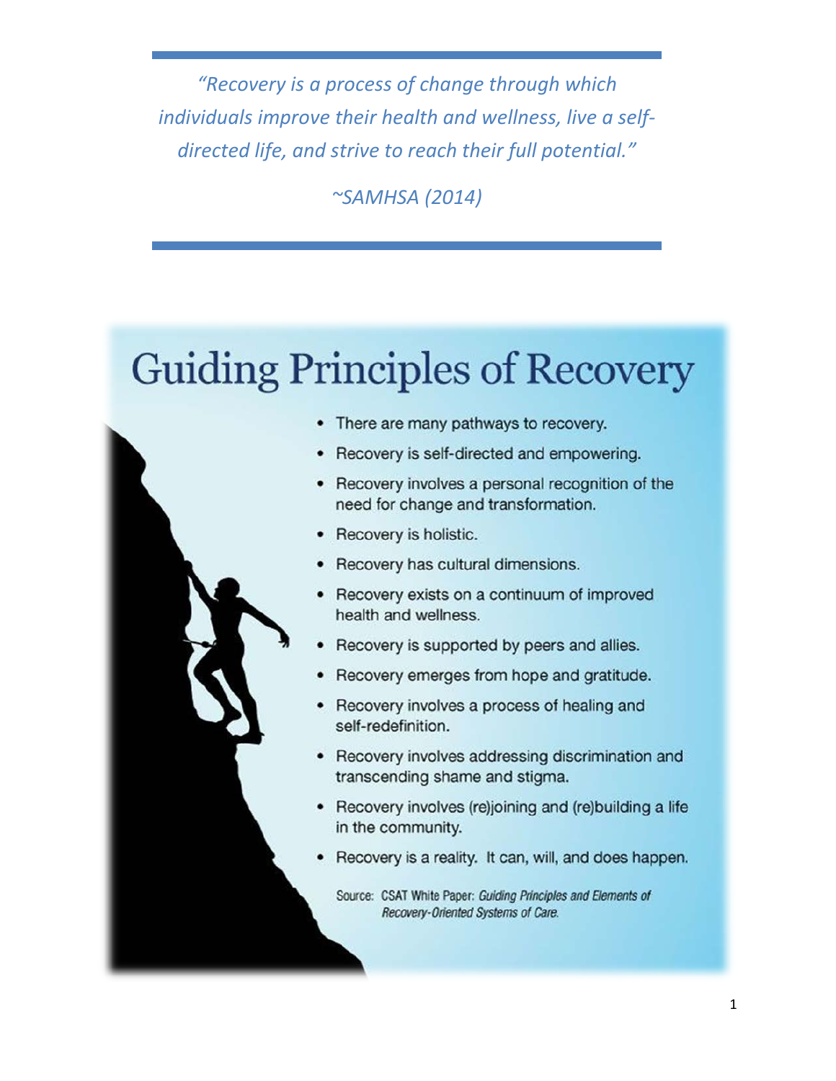*"Recovery is a process of change through which individuals improve their health and wellness, live a selfdirected life, and strive to reach their full potential."*

*~SAMHSA (2014)*

# **Guiding Principles of Recovery**



- There are many pathways to recovery.
- Recovery is self-directed and empowering.
- Recovery involves a personal recognition of the need for change and transformation.
- Recovery is holistic.
- Recovery has cultural dimensions.
- Recovery exists on a continuum of improved health and wellness.
- Recovery is supported by peers and allies.
- Recovery emerges from hope and gratitude.
- Recovery involves a process of healing and self-redefinition.
- Recovery involves addressing discrimination and transcending shame and stigma.
- Recovery involves (re)joining and (re)building a life in the community.
- Recovery is a reality. It can, will, and does happen.

Source: CSAT White Paper: Guiding Principles and Elements of Recovery-Oriented Systems of Care.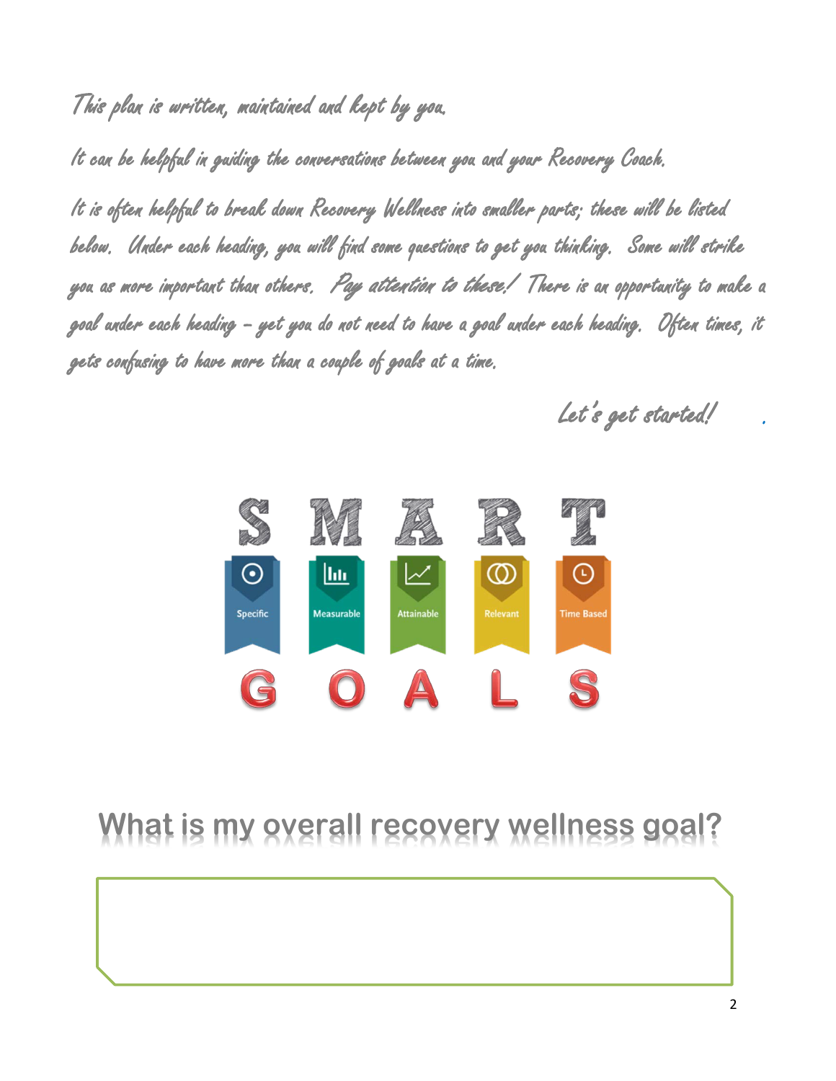This plan is written, maintained and kept by you.

It can be helpful in guiding the conversations between you and your Recovery Coach.

It is often helpful to break down Recovery Wellness into smaller parts; these will be listed below. Under each heading, you will find some questions to get you thinking. Some will strike you as more important than others*. Pay attention to these! T*here is an opportunity to make a goal under each heading – yet you do not need to have a goal under each heading. Often times, it gets confusing to have more than a couple of goals at a time.

Let's get started!



## **What is my overall recovery wellness goal?**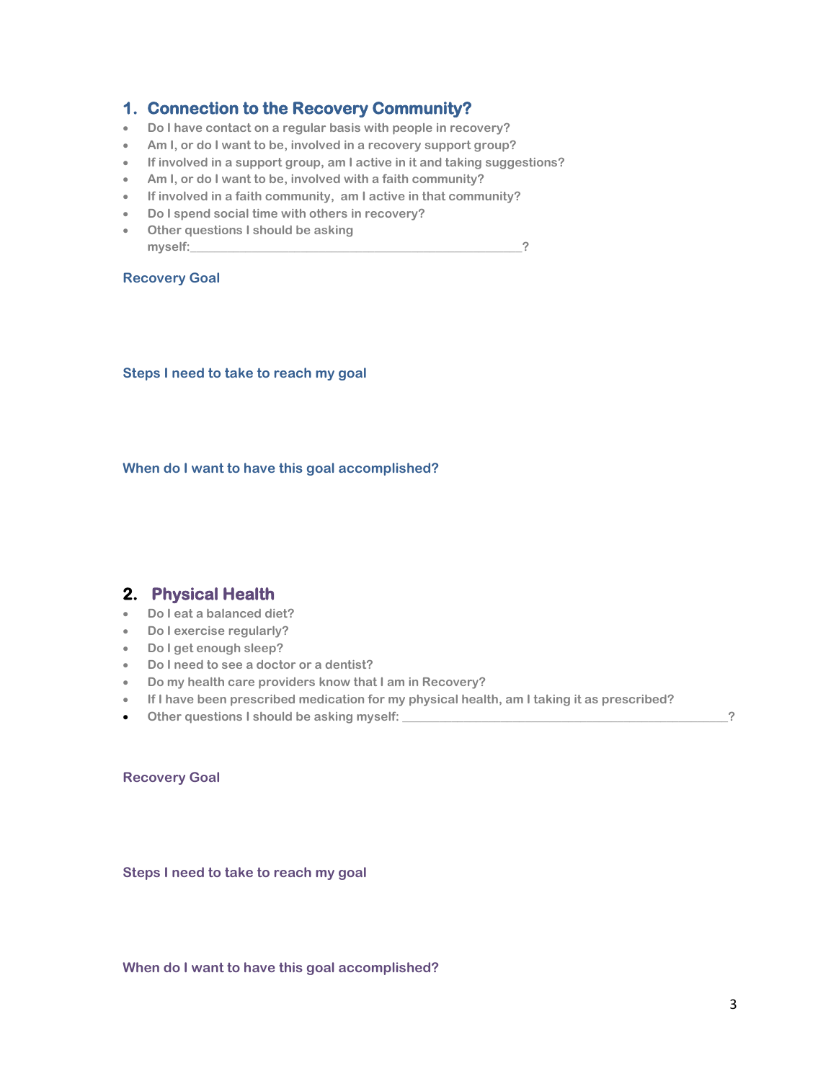### **1. Connection to the Recovery Community?**

- **Do I have contact on a regular basis with people in recovery?**
- **Am I, or do I want to be, involved in a recovery support group?**
- **If involved in a support group, am I active in it and taking suggestions?**
- **Am I, or do I want to be, involved with a faith community?**
- **If involved in a faith community, am I active in that community?**
- **Do I spend social time with others in recovery?**
- **Other questions I should be asking myself:\_\_\_\_\_\_\_\_\_\_\_\_\_\_\_\_\_\_\_\_\_\_\_\_\_\_\_\_\_\_\_\_\_\_\_\_\_\_\_\_\_\_\_\_\_\_\_\_\_\_\_\_\_\_?**

### **Recovery Goal**

**Steps I need to take to reach my goal**

**When do I want to have this goal accomplished?**

### **2. Physical Health**

- **Do I eat a balanced diet?**
- **Do I exercise regularly?**
- **Do I get enough sleep?**
- **Do I need to see a doctor or a dentist?**
- **Do my health care providers know that I am in Recovery?**
- **If I have been prescribed medication for my physical health, am I taking it as prescribed?**
- Other questions I should be asking myself: **with a set of the set of the set of the set of the set of the set of the set of the set of the set of the set of the set of the set of the set of the set of the set of the set**

### **Recovery Goal**

**Steps I need to take to reach my goal** 

**When do I want to have this goal accomplished?**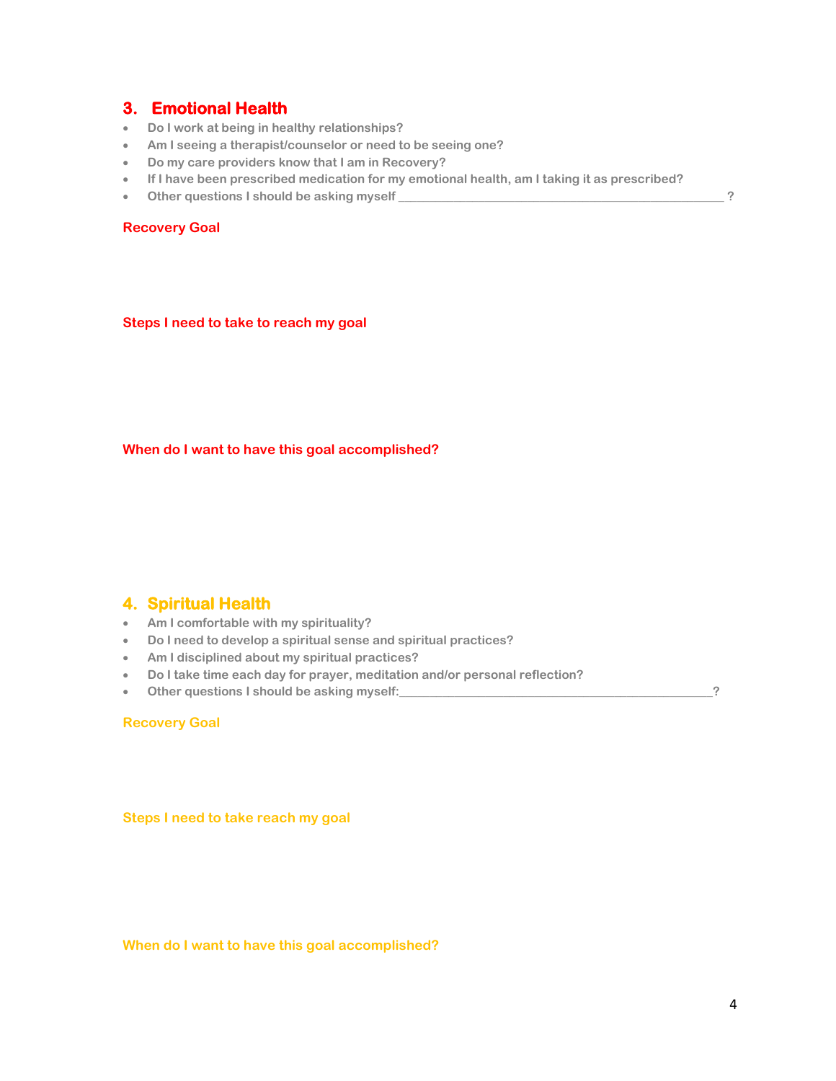### **3. Emotional Health**

- **Do I work at being in healthy relationships?**
- **Am I seeing a therapist/counselor or need to be seeing one?**
- **Do my care providers know that I am in Recovery?**
- **If I have been prescribed medication for my emotional health, am I taking it as prescribed?**
- **Other questions I should be asking myself \_\_\_\_\_\_\_\_\_\_\_\_\_\_\_\_\_\_\_\_\_\_\_\_\_\_\_\_\_\_\_\_\_\_\_\_\_\_\_\_\_\_\_\_\_\_\_\_\_\_\_\_\_ ?**

### **Recovery Goal**

**Steps I need to take to reach my goal** 

**When do I want to have this goal accomplished?**

### **4. Spiritual Health**

- **Am I comfortable with my spirituality?**
- **Do I need to develop a spiritual sense and spiritual practices?**
- **Am I disciplined about my spiritual practices?**
- **Do I take time each day for prayer, meditation and/or personal reflection?**
- **Other questions I should be asking myself:\_\_\_\_\_\_\_\_\_\_\_\_\_\_\_\_\_\_\_\_\_\_\_\_\_\_\_\_\_\_\_\_\_\_\_\_\_\_\_\_\_\_\_\_\_\_\_\_\_\_\_?**

### **Recovery Goal**

**Steps I need to take reach my goal**

**When do I want to have this goal accomplished?**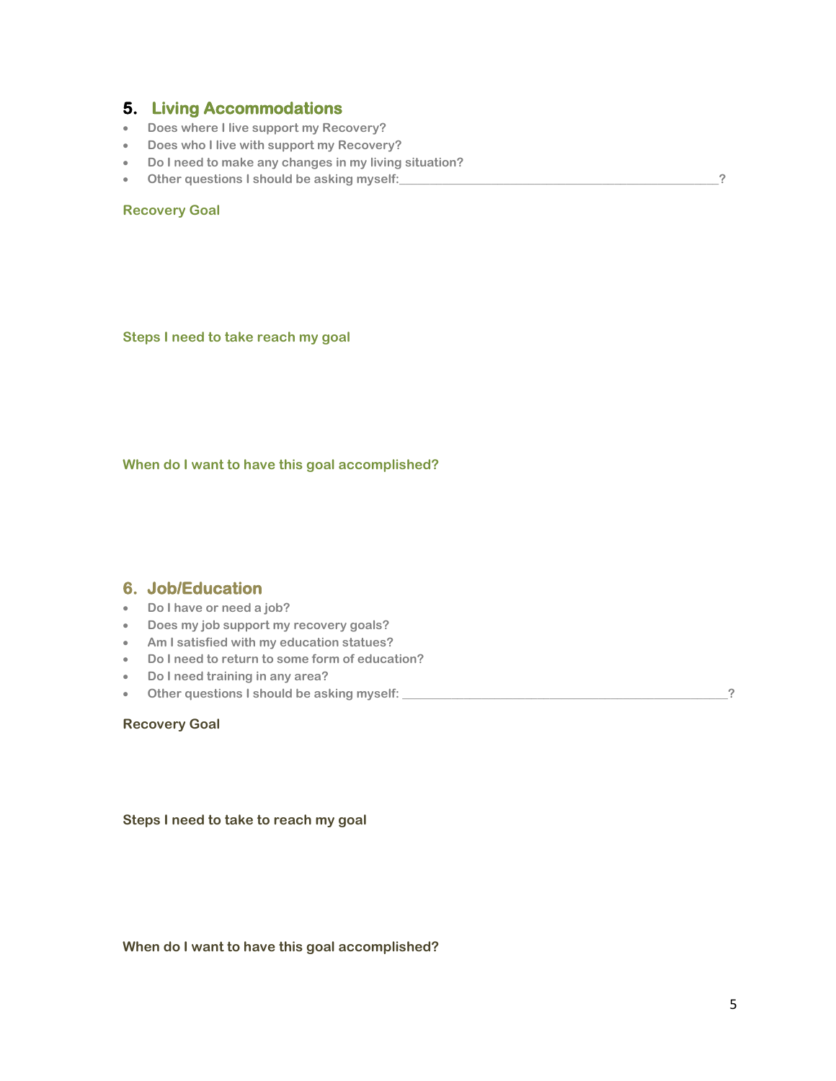### **5. Living Accommodations**

- **Does where I live support my Recovery?**
- **Does who I live with support my Recovery?**
- **Do I need to make any changes in my living situation?**
- Other questions I should be asking myself: **All and the state of the state of the state of the state of the state of the state of the state of the state of the state of the state of the state of the state of the state of**

### **Recovery Goal**

**Steps I need to take reach my goal** 

**When do I want to have this goal accomplished?**

### **6. Job/Education**

- **Do I have or need a job?**
- **Does my job support my recovery goals?**
- **Am I satisfied with my education statues?**
- **Do I need to return to some form of education?**
- **Do I need training in any area?**
- **Other questions I should be asking myself: \_\_\_\_\_\_\_\_\_\_\_\_\_\_\_\_\_\_\_\_\_\_\_\_\_\_\_\_\_\_\_\_\_\_\_\_\_\_\_\_\_\_\_\_\_\_\_\_\_\_\_\_\_?**

### **Recovery Goal**

**Steps I need to take to reach my goal** 

### **When do I want to have this goal accomplished?**